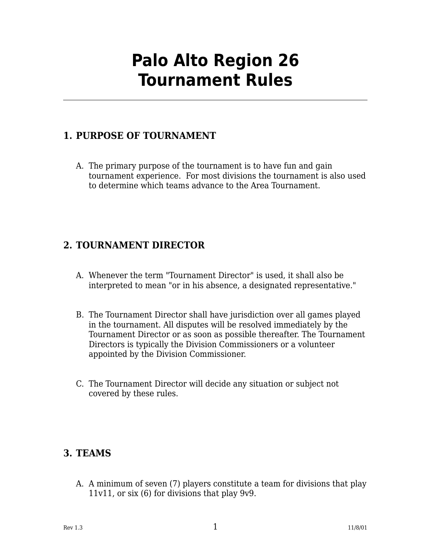# **Palo Alto Region 26 Tournament Rules**

# **1. PURPOSE OF TOURNAMENT**

A. The primary purpose of the tournament is to have fun and gain tournament experience. For most divisions the tournament is also used to determine which teams advance to the Area Tournament.

# **2. TOURNAMENT DIRECTOR**

- A. Whenever the term "Tournament Director" is used, it shall also be interpreted to mean "or in his absence, a designated representative."
- B. The Tournament Director shall have jurisdiction over all games played in the tournament. All disputes will be resolved immediately by the Tournament Director or as soon as possible thereafter. The Tournament Directors is typically the Division Commissioners or a volunteer appointed by the Division Commissioner.
- C. The Tournament Director will decide any situation or subject not covered by these rules.

# **3. TEAMS**

A. A minimum of seven (7) players constitute a team for divisions that play 11v11, or six (6) for divisions that play 9v9.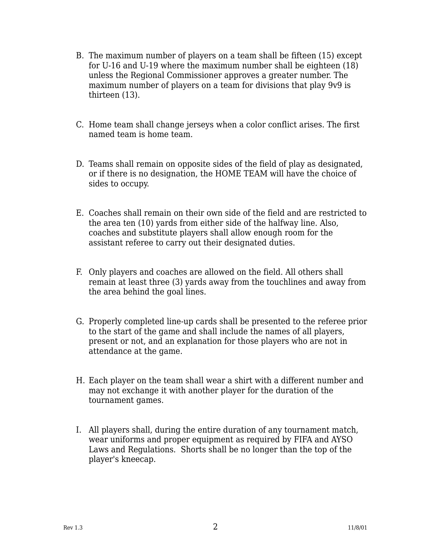- B. The maximum number of players on a team shall be fifteen (15) except for U-16 and U-19 where the maximum number shall be eighteen (18) unless the Regional Commissioner approves a greater number. The maximum number of players on a team for divisions that play 9v9 is thirteen (13).
- C. Home team shall change jerseys when a color conflict arises. The first named team is home team.
- D. Teams shall remain on opposite sides of the field of play as designated, or if there is no designation, the HOME TEAM will have the choice of sides to occupy.
- E. Coaches shall remain on their own side of the field and are restricted to the area ten (10) yards from either side of the halfway line. Also, coaches and substitute players shall allow enough room for the assistant referee to carry out their designated duties.
- F. Only players and coaches are allowed on the field. All others shall remain at least three (3) yards away from the touchlines and away from the area behind the goal lines.
- G. Properly completed line-up cards shall be presented to the referee prior to the start of the game and shall include the names of all players, present or not, and an explanation for those players who are not in attendance at the game.
- H. Each player on the team shall wear a shirt with a different number and may not exchange it with another player for the duration of the tournament games.
- I. All players shall, during the entire duration of any tournament match, wear uniforms and proper equipment as required by FIFA and AYSO Laws and Regulations. Shorts shall be no longer than the top of the player's kneecap.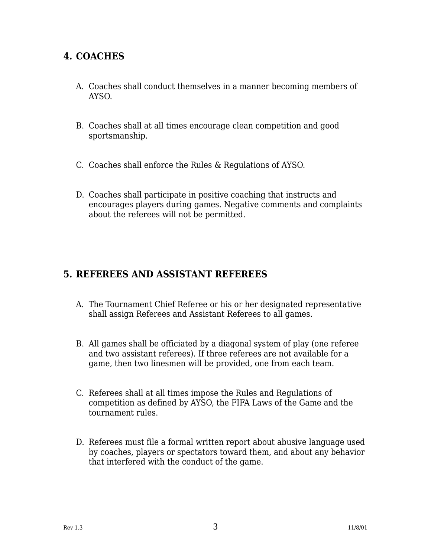# **4. COACHES**

- A. Coaches shall conduct themselves in a manner becoming members of AYSO.
- B. Coaches shall at all times encourage clean competition and good sportsmanship.
- C. Coaches shall enforce the Rules & Regulations of AYSO.
- D. Coaches shall participate in positive coaching that instructs and encourages players during games. Negative comments and complaints about the referees will not be permitted.

### **5. REFEREES AND ASSISTANT REFEREES**

- A. The Tournament Chief Referee or his or her designated representative shall assign Referees and Assistant Referees to all games.
- B. All games shall be officiated by a diagonal system of play (one referee and two assistant referees). If three referees are not available for a game, then two linesmen will be provided, one from each team.
- C. Referees shall at all times impose the Rules and Regulations of competition as defined by AYSO, the FIFA Laws of the Game and the tournament rules.
- D. Referees must file a formal written report about abusive language used by coaches, players or spectators toward them, and about any behavior that interfered with the conduct of the game.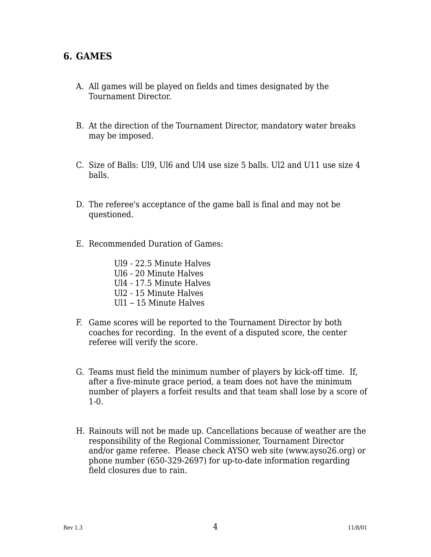#### **6. GAMES**

- A. All games will be played on fields and times designated by the Tournament Director.
- B. At the direction of the Tournament Director, mandatory water breaks may be imposed.
- C. Size of Balls: Ul9, Ul6 and Ul4 use size 5 balls. Ul2 and U11 use size 4 balls.
- D. The referee's acceptance of the game ball is final and may not be questioned.
- E. Recommended Duration of Games:
	- Ul9 22.5 Minute Halves Ul6 - 20 Minute Halves Ul4 - 17.5 Minute Halves Ul2 - 15 Minute Halves Ul1 – 15 Minute Halves
- F. Game scores will be reported to the Tournament Director by both coaches for recording. In the event of a disputed score, the center referee will verify the score.
- G. Teams must field the minimum number of players by kick-off time. If, after a five-minute grace period, a team does not have the minimum number of players a forfeit results and that team shall lose by a score of 1-0.
- H. Rainouts will not be made up. Cancellations because of weather are the responsibility of the Regional Commissioner, Tournament Director and/or game referee. Please check AYSO web site (www.ayso26.org) or phone number (650-329-2697) for up-to-date information regarding field closures due to rain.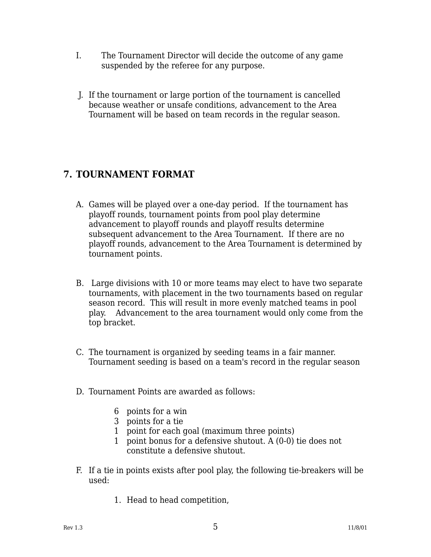- I. The Tournament Director will decide the outcome of any game suspended by the referee for any purpose.
- J. If the tournament or large portion of the tournament is cancelled because weather or unsafe conditions, advancement to the Area Tournament will be based on team records in the regular season.

# **7. TOURNAMENT FORMAT**

- A. Games will be played over a one-day period. If the tournament has playoff rounds, tournament points from pool play determine advancement to playoff rounds and playoff results determine subsequent advancement to the Area Tournament. If there are no playoff rounds, advancement to the Area Tournament is determined by tournament points.
- B. Large divisions with 10 or more teams may elect to have two separate tournaments, with placement in the two tournaments based on regular season record. This will result in more evenly matched teams in pool play. Advancement to the area tournament would only come from the top bracket.
- C. The tournament is organized by seeding teams in a fair manner. Tournament seeding is based on a team's record in the regular season
- D. Tournament Points are awarded as follows:
	- 6 points for a win
	- 3 points for a tie
	- 1 point for each goal (maximum three points)
	- 1 point bonus for a defensive shutout. A (0-0) tie does not constitute a defensive shutout.
- F. If a tie in points exists after pool play, the following tie-breakers will be used:
	- 1. Head to head competition,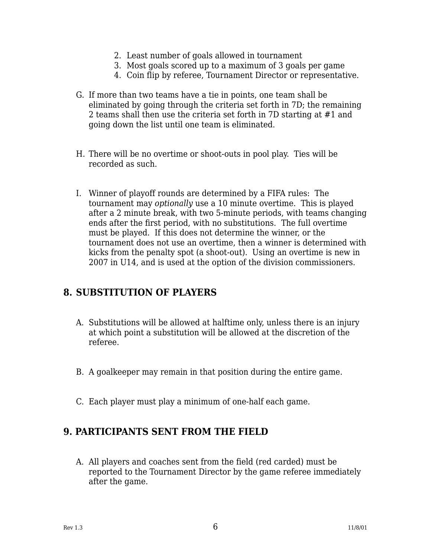- 2. Least number of goals allowed in tournament
- 3. Most goals scored up to a maximum of 3 goals per game
- 4. Coin flip by referee, Tournament Director or representative.
- G. If more than two teams have a tie in points, one team shall be eliminated by going through the criteria set forth in 7D; the remaining 2 teams shall then use the criteria set forth in 7D starting at #1 and going down the list until one team is eliminated.
- H. There will be no overtime or shoot-outs in pool play. Ties will be recorded as such.
- I. Winner of playoff rounds are determined by a FIFA rules: The tournament may optionally use a 10 minute overtime. This is played after a 2 minute break, with two 5-minute periods, with teams changing ends after the first period, with no substitutions. The full overtime must be played. If this does not determine the winner, or the tournament does not use an overtime, then a winner is determined with kicks from the penalty spot (a shoot-out). Using an overtime is new in 2007 in U14, and is used at the option of the division commissioners.

# **8. SUBSTITUTION OF PLAYERS**

- A. Substitutions will be allowed at halftime only, unless there is an injury at which point a substitution will be allowed at the discretion of the referee.
- B. A goalkeeper may remain in that position during the entire game.
- C. Each player must play a minimum of one-half each game.

#### **9. PARTICIPANTS SENT FROM THE FIELD**

A. All players and coaches sent from the field (red carded) must be reported to the Tournament Director by the game referee immediately after the game.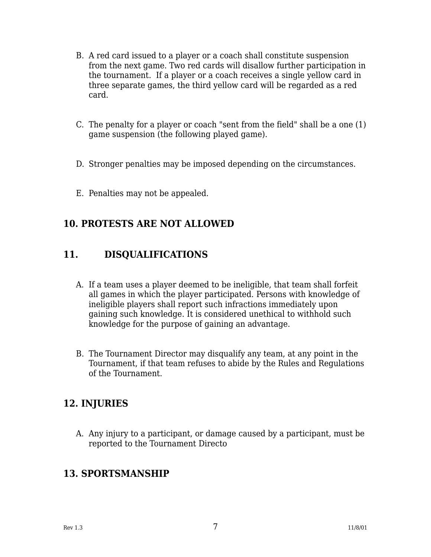- B. A red card issued to a player or a coach shall constitute suspension from the next game. Two red cards will disallow further participation in the tournament. If a player or a coach receives a single yellow card in three separate games, the third yellow card will be regarded as a red card.
- C. The penalty for a player or coach "sent from the field" shall be a one (1) game suspension (the following played game).
- D. Stronger penalties may be imposed depending on the circumstances.
- E. Penalties may not be appealed.

# **10. PROTESTS ARE NOT ALLOWED**

# **11. DISQUALIFICATIONS**

- A. If a team uses a player deemed to be ineligible, that team shall forfeit all games in which the player participated. Persons with knowledge of ineligible players shall report such infractions immediately upon gaining such knowledge. It is considered unethical to withhold such knowledge for the purpose of gaining an advantage.
- B. The Tournament Director may disqualify any team, at any point in the Tournament, if that team refuses to abide by the Rules and Regulations of the Tournament.

# **12. INJURIES**

A. Any injury to a participant, or damage caused by a participant, must be reported to the Tournament Directo

#### **13. SPORTSMANSHIP**